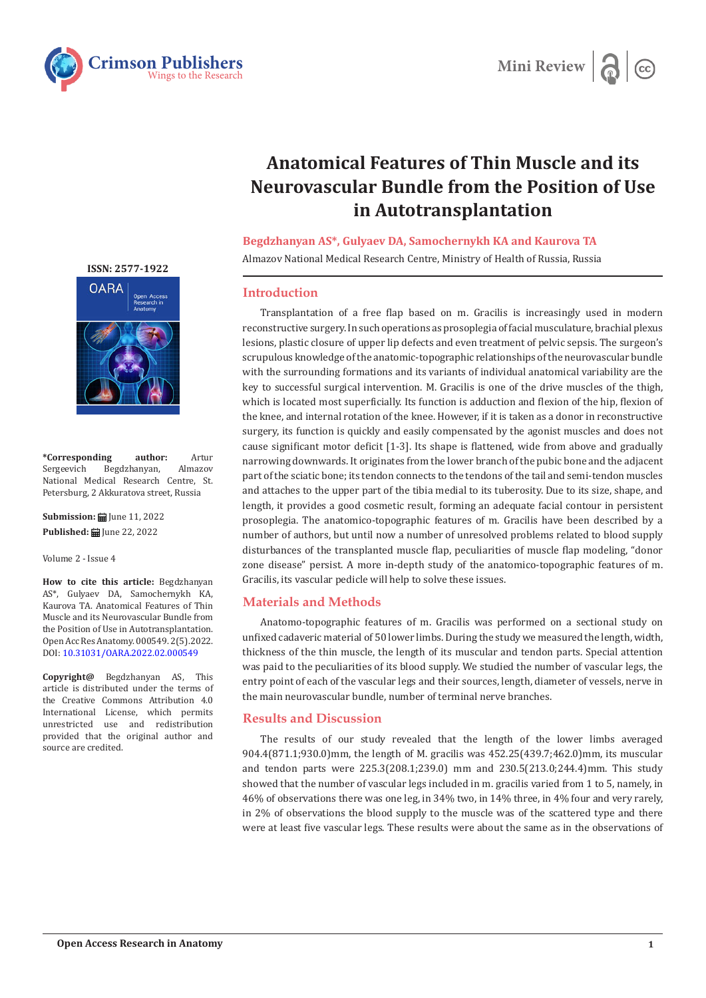



# **Anatomical Features of Thin Muscle and its Neurovascular Bundle from the Position of Use in Autotransplantation**

#### **Begdzhanyan AS\*, Gulyaev DA, Samochernykh KA and Kaurova TA**

Almazov National Medical Research Centre, Ministry of Health of Russia, Russia

# **Introduction**

Transplantation of a free flap based on m. Gracilis is increasingly used in modern reconstructive surgery. In such operations as prosoplegia of facial musculature, brachial plexus lesions, plastic closure of upper lip defects and even treatment of pelvic sepsis. The surgeon's scrupulous knowledge of the anatomic-topographic relationships of the neurovascular bundle with the surrounding formations and its variants of individual anatomical variability are the key to successful surgical intervention. M. Gracilis is one of the drive muscles of the thigh, which is located most superficially. Its function is adduction and flexion of the hip, flexion of the knee, and internal rotation of the knee. However, if it is taken as a donor in reconstructive surgery, its function is quickly and easily compensated by the agonist muscles and does not cause significant motor deficit [1-3]. Its shape is flattened, wide from above and gradually narrowing downwards. It originates from the lower branch of the pubic bone and the adjacent part of the sciatic bone; its tendon connects to the tendons of the tail and semi-tendon muscles and attaches to the upper part of the tibia medial to its tuberosity. Due to its size, shape, and length, it provides a good cosmetic result, forming an adequate facial contour in persistent prosoplegia. The anatomico-topographic features of m. Gracilis have been described by a number of authors, but until now a number of unresolved problems related to blood supply disturbances of the transplanted muscle flap, peculiarities of muscle flap modeling, "donor zone disease" persist. A more in-depth study of the anatomico-topographic features of m. Gracilis, its vascular pedicle will help to solve these issues.

# **Materials and Methods**

Anatomo-topographic features of m. Gracilis was performed on a sectional study on unfixed cadaveric material of 50 lower limbs. During the study we measured the length, width, thickness of the thin muscle, the length of its muscular and tendon parts. Special attention was paid to the peculiarities of its blood supply. We studied the number of vascular legs, the entry point of each of the vascular legs and their sources, length, diameter of vessels, nerve in the main neurovascular bundle, number of terminal nerve branches.

# **Results and Discussion**

The results of our study revealed that the length of the lower limbs averaged 904.4(871.1;930.0)mm, the length of M. gracilis was 452.25(439.7;462.0)mm, its muscular and tendon parts were 225.3(208.1;239.0) mm and 230.5(213.0;244.4)mm. This study showed that the number of vascular legs included in m. gracilis varied from 1 to 5, namely, in 46% of observations there was one leg, in 34% two, in 14% three, in 4% four and very rarely, in 2% of observations the blood supply to the muscle was of the scattered type and there were at least five vascular legs. These results were about the same as in the observations of

**[ISSN: 2577-1922](https://crimsonpublishers.com/oara/)**



**\*Corresponding author:** Artur Begdzhanyan, National Medical Research Centre, St. Petersburg, 2 Akkuratova street, Russia

**Submission:** June 11, 2022 **Published: | June 22, 2022** 

Volume 2 - Issue 4

**How to cite this article:** Begdzhanyan AS\*, Gulyaev DA, Samochernykh KA, Kaurova TA. Anatomical Features of Thin Muscle and its Neurovascular Bundle from the Position of Use in Autotransplantation. Open Acc Res Anatomy. 000549. 2(5).2022. DOI: [10.31031/OARA.2022.02.00054](http://dx.doi.org/10.31031/OARA.2022.02.000548)9

**Copyright@** Begdzhanyan AS, This article is distributed under the terms of the Creative Commons Attribution 4.0 International License, which permits unrestricted use and redistribution provided that the original author and source are credited.